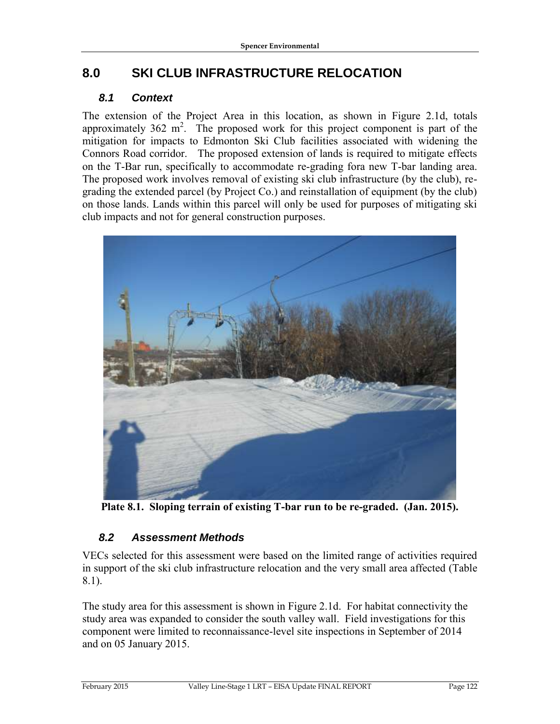# **8.0 SKI CLUB INFRASTRUCTURE RELOCATION**

# *8.1 Context*

The extension of the Project Area in this location, as shown in Figure 2.1d, totals approximately  $362 \text{ m}^2$ . The proposed work for this project component is part of the mitigation for impacts to Edmonton Ski Club facilities associated with widening the Connors Road corridor. The proposed extension of lands is required to mitigate effects on the T-Bar run, specifically to accommodate re-grading fora new T-bar landing area. The proposed work involves removal of existing ski club infrastructure (by the club), regrading the extended parcel (by Project Co.) and reinstallation of equipment (by the club) on those lands. Lands within this parcel will only be used for purposes of mitigating ski club impacts and not for general construction purposes.



**Plate 8.1. Sloping terrain of existing T-bar run to be re-graded. (Jan. 2015).**

# *8.2 Assessment Methods*

VECs selected for this assessment were based on the limited range of activities required in support of the ski club infrastructure relocation and the very small area affected (Table 8.1).

The study area for this assessment is shown in Figure 2.1d. For habitat connectivity the study area was expanded to consider the south valley wall. Field investigations for this component were limited to reconnaissance-level site inspections in September of 2014 and on 05 January 2015.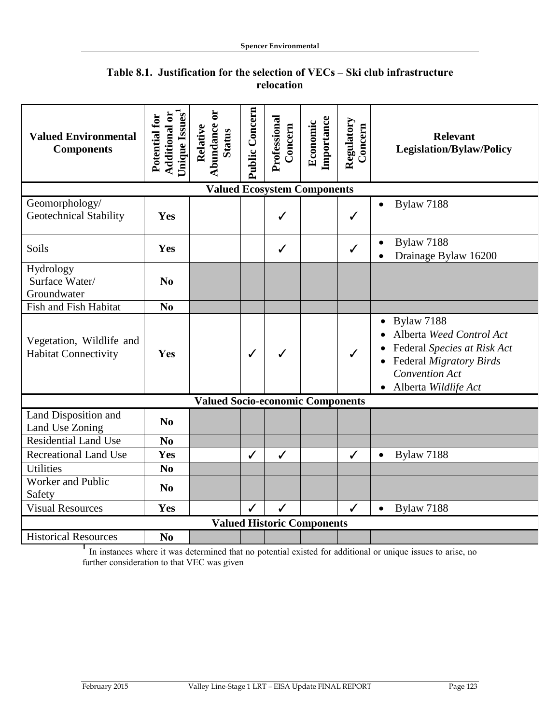| <b>Valued Environmental</b><br><b>Components</b>        | Unique Issues <sup>1</sup><br><b>Additional or</b><br>Potential for | $\overline{\mathbf{c}}$<br>Abundance<br>Relative<br><b>Status</b> | Public Concern | Professional<br>Concern | Importance<br>Economic | Regulatory<br>Concern | <b>Relevant</b><br><b>Legislation/Bylaw/Policy</b>                                                                                                         |
|---------------------------------------------------------|---------------------------------------------------------------------|-------------------------------------------------------------------|----------------|-------------------------|------------------------|-----------------------|------------------------------------------------------------------------------------------------------------------------------------------------------------|
| <b>Valued Ecosystem Components</b>                      |                                                                     |                                                                   |                |                         |                        |                       |                                                                                                                                                            |
| Geomorphology/<br><b>Geotechnical Stability</b>         | Yes                                                                 |                                                                   |                | $\checkmark$            |                        | ✓                     | <b>Bylaw 7188</b>                                                                                                                                          |
| Soils                                                   | Yes                                                                 |                                                                   |                | $\checkmark$            |                        | $\checkmark$          | Bylaw 7188<br>Drainage Bylaw 16200                                                                                                                         |
| Hydrology<br>Surface Water/<br>Groundwater              | N <sub>0</sub>                                                      |                                                                   |                |                         |                        |                       |                                                                                                                                                            |
| Fish and Fish Habitat                                   | N <sub>0</sub>                                                      |                                                                   |                |                         |                        |                       |                                                                                                                                                            |
| Vegetation, Wildlife and<br><b>Habitat Connectivity</b> | Yes                                                                 |                                                                   | $\checkmark$   | ✓                       |                        | $\checkmark$          | <b>Bylaw 7188</b><br>Alberta Weed Control Act<br>Federal Species at Risk Act<br>Federal Migratory Birds<br><b>Convention Act</b><br>• Alberta Wildlife Act |
| <b>Valued Socio-economic Components</b>                 |                                                                     |                                                                   |                |                         |                        |                       |                                                                                                                                                            |
| Land Disposition and<br>Land Use Zoning                 | N <sub>0</sub>                                                      |                                                                   |                |                         |                        |                       |                                                                                                                                                            |
| <b>Residential Land Use</b>                             | N <sub>0</sub>                                                      |                                                                   |                |                         |                        |                       |                                                                                                                                                            |
| <b>Recreational Land Use</b>                            | Yes                                                                 |                                                                   | $\checkmark$   | $\checkmark$            |                        | $\checkmark$          | Bylaw 7188                                                                                                                                                 |
| <b>Utilities</b>                                        | N <sub>0</sub>                                                      |                                                                   |                |                         |                        |                       |                                                                                                                                                            |
| Worker and Public<br>Safety                             | N <sub>0</sub>                                                      |                                                                   |                |                         |                        |                       |                                                                                                                                                            |
| <b>Visual Resources</b>                                 | Yes                                                                 |                                                                   | $\checkmark$   | $\checkmark$            |                        | $\checkmark$          | <b>Bylaw 7188</b>                                                                                                                                          |
| <b>Valued Historic Components</b>                       |                                                                     |                                                                   |                |                         |                        |                       |                                                                                                                                                            |
| <b>Historical Resources</b>                             | N <sub>0</sub>                                                      |                                                                   |                |                         |                        |                       |                                                                                                                                                            |

### **Table 8.1. Justification for the selection of VECs – Ski club infrastructure relocation**

<sup>1</sup> In instances where it was determined that no potential existed for additional or unique issues to arise, no further consideration to that VEC was given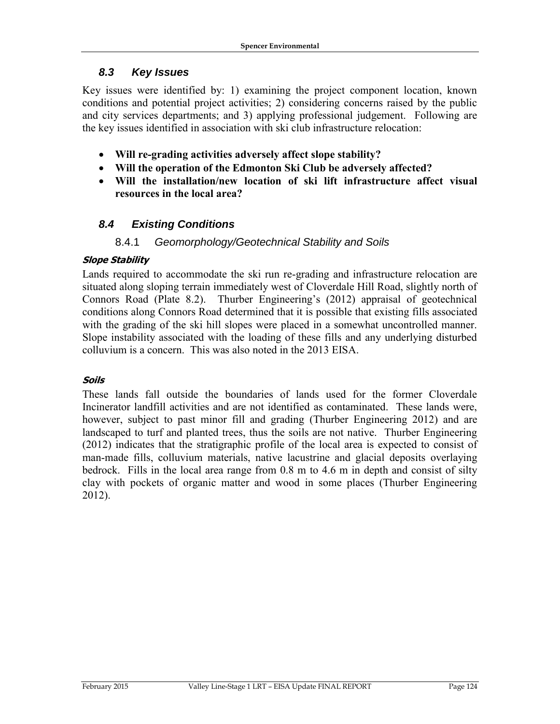#### *8.3 Key Issues*

Key issues were identified by: 1) examining the project component location, known conditions and potential project activities; 2) considering concerns raised by the public and city services departments; and 3) applying professional judgement. Following are the key issues identified in association with ski club infrastructure relocation:

- **Will re-grading activities adversely affect slope stability?**
- **Will the operation of the Edmonton Ski Club be adversely affected?**
- **Will the installation/new location of ski lift infrastructure affect visual resources in the local area?**

## *8.4 Existing Conditions*

#### 8.4.1 *Geomorphology/Geotechnical Stability and Soils*

#### **Slope Stability**

Lands required to accommodate the ski run re-grading and infrastructure relocation are situated along sloping terrain immediately west of Cloverdale Hill Road, slightly north of Connors Road (Plate 8.2). Thurber Engineering's (2012) appraisal of geotechnical conditions along Connors Road determined that it is possible that existing fills associated with the grading of the ski hill slopes were placed in a somewhat uncontrolled manner. Slope instability associated with the loading of these fills and any underlying disturbed colluvium is a concern. This was also noted in the 2013 EISA.

#### **Soils**

These lands fall outside the boundaries of lands used for the former Cloverdale Incinerator landfill activities and are not identified as contaminated. These lands were, however, subject to past minor fill and grading (Thurber Engineering 2012) and are landscaped to turf and planted trees, thus the soils are not native. Thurber Engineering (2012) indicates that the stratigraphic profile of the local area is expected to consist of man-made fills, colluvium materials, native lacustrine and glacial deposits overlaying bedrock. Fills in the local area range from 0.8 m to 4.6 m in depth and consist of silty clay with pockets of organic matter and wood in some places (Thurber Engineering 2012).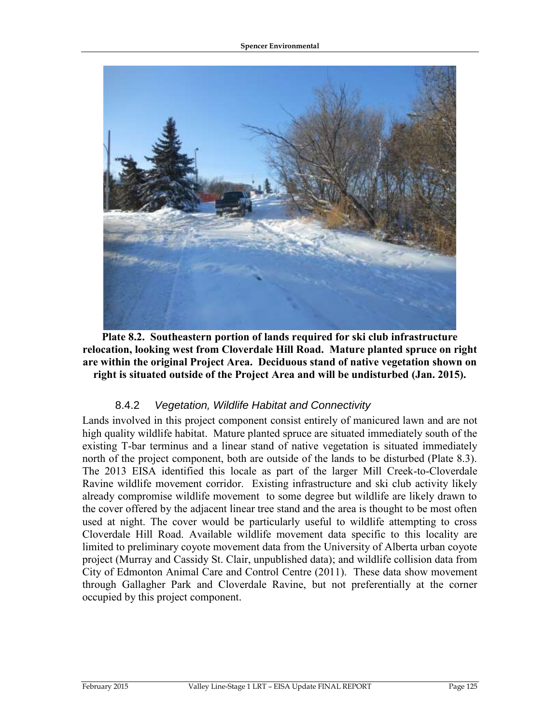

**Plate 8.2. Southeastern portion of lands required for ski club infrastructure relocation, looking west from Cloverdale Hill Road. Mature planted spruce on right are within the original Project Area. Deciduous stand of native vegetation shown on right is situated outside of the Project Area and will be undisturbed (Jan. 2015).**

#### 8.4.2 *Vegetation, Wildlife Habitat and Connectivity*

Lands involved in this project component consist entirely of manicured lawn and are not high quality wildlife habitat. Mature planted spruce are situated immediately south of the existing T-bar terminus and a linear stand of native vegetation is situated immediately north of the project component, both are outside of the lands to be disturbed (Plate 8.3). The 2013 EISA identified this locale as part of the larger Mill Creek-to-Cloverdale Ravine wildlife movement corridor. Existing infrastructure and ski club activity likely already compromise wildlife movement to some degree but wildlife are likely drawn to the cover offered by the adjacent linear tree stand and the area is thought to be most often used at night. The cover would be particularly useful to wildlife attempting to cross Cloverdale Hill Road. Available wildlife movement data specific to this locality are limited to preliminary coyote movement data from the University of Alberta urban coyote project (Murray and Cassidy St. Clair, unpublished data); and wildlife collision data from City of Edmonton Animal Care and Control Centre (2011). These data show movement through Gallagher Park and Cloverdale Ravine, but not preferentially at the corner occupied by this project component.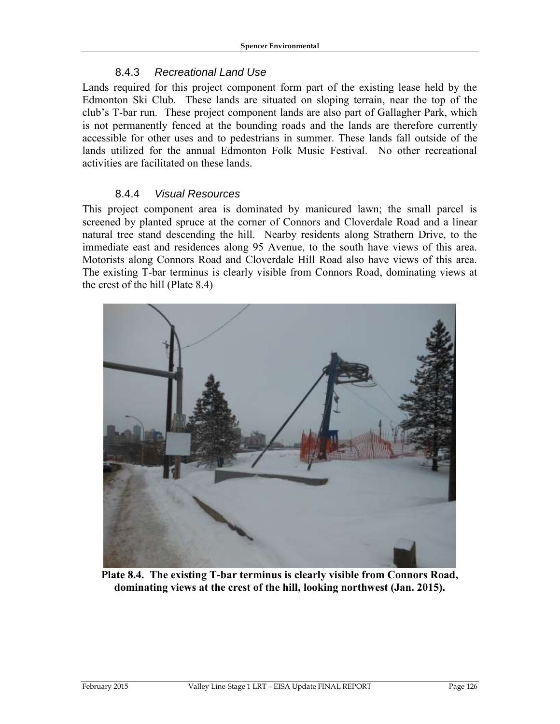### 8.4.3 *Recreational Land Use*

Lands required for this project component form part of the existing lease held by the Edmonton Ski Club. These lands are situated on sloping terrain, near the top of the club's T-bar run. These project component lands are also part of Gallagher Park, which is not permanently fenced at the bounding roads and the lands are therefore currently accessible for other uses and to pedestrians in summer. These lands fall outside of the lands utilized for the annual Edmonton Folk Music Festival. No other recreational activities are facilitated on these lands.

#### 8.4.4 *Visual Resources*

This project component area is dominated by manicured lawn; the small parcel is screened by planted spruce at the corner of Connors and Cloverdale Road and a linear natural tree stand descending the hill. Nearby residents along Strathern Drive, to the immediate east and residences along 95 Avenue, to the south have views of this area. Motorists along Connors Road and Cloverdale Hill Road also have views of this area. The existing T-bar terminus is clearly visible from Connors Road, dominating views at the crest of the hill (Plate 8.4)



**Plate 8.4. The existing T-bar terminus is clearly visible from Connors Road, dominating views at the crest of the hill, looking northwest (Jan. 2015).**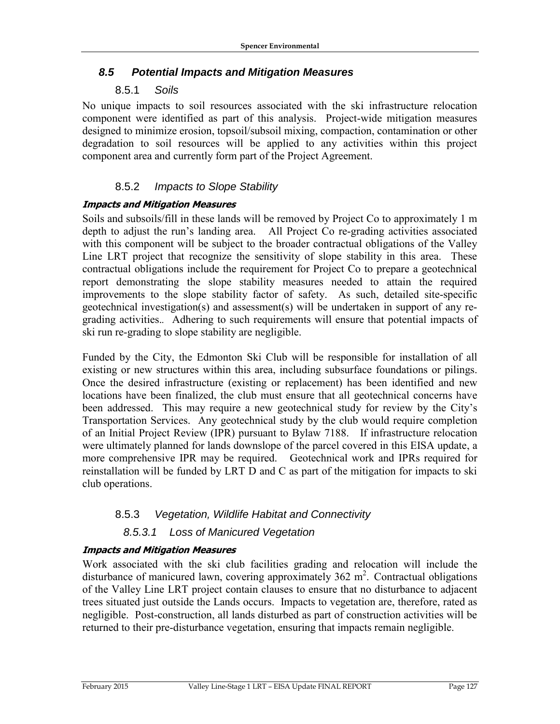### *8.5 Potential Impacts and Mitigation Measures*

### 8.5.1 *Soils*

No unique impacts to soil resources associated with the ski infrastructure relocation component were identified as part of this analysis. Project-wide mitigation measures designed to minimize erosion, topsoil/subsoil mixing, compaction, contamination or other degradation to soil resources will be applied to any activities within this project component area and currently form part of the Project Agreement.

### 8.5.2 *Impacts to Slope Stability*

#### **Impacts and Mitigation Measures**

Soils and subsoils/fill in these lands will be removed by Project Co to approximately 1 m depth to adjust the run's landing area. All Project Co re-grading activities associated with this component will be subject to the broader contractual obligations of the Valley Line LRT project that recognize the sensitivity of slope stability in this area. These contractual obligations include the requirement for Project Co to prepare a geotechnical report demonstrating the slope stability measures needed to attain the required improvements to the slope stability factor of safety. As such, detailed site-specific geotechnical investigation(s) and assessment(s) will be undertaken in support of any regrading activities.*.* Adhering to such requirements will ensure that potential impacts of ski run re-grading to slope stability are negligible.

Funded by the City, the Edmonton Ski Club will be responsible for installation of all existing or new structures within this area, including subsurface foundations or pilings. Once the desired infrastructure (existing or replacement) has been identified and new locations have been finalized, the club must ensure that all geotechnical concerns have been addressed. This may require a new geotechnical study for review by the City's Transportation Services. Any geotechnical study by the club would require completion of an Initial Project Review (IPR) pursuant to Bylaw 7188. If infrastructure relocation were ultimately planned for lands downslope of the parcel covered in this EISA update, a more comprehensive IPR may be required. Geotechnical work and IPRs required for reinstallation will be funded by LRT D and C as part of the mitigation for impacts to ski club operations.

### 8.5.3 *Vegetation, Wildlife Habitat and Connectivity*

### *8.5.3.1 Loss of Manicured Vegetation*

#### **Impacts and Mitigation Measures**

Work associated with the ski club facilities grading and relocation will include the disturbance of manicured lawn, covering approximately  $362 \text{ m}^2$ . Contractual obligations of the Valley Line LRT project contain clauses to ensure that no disturbance to adjacent trees situated just outside the Lands occurs. Impacts to vegetation are, therefore, rated as negligible. Post-construction, all lands disturbed as part of construction activities will be returned to their pre-disturbance vegetation, ensuring that impacts remain negligible.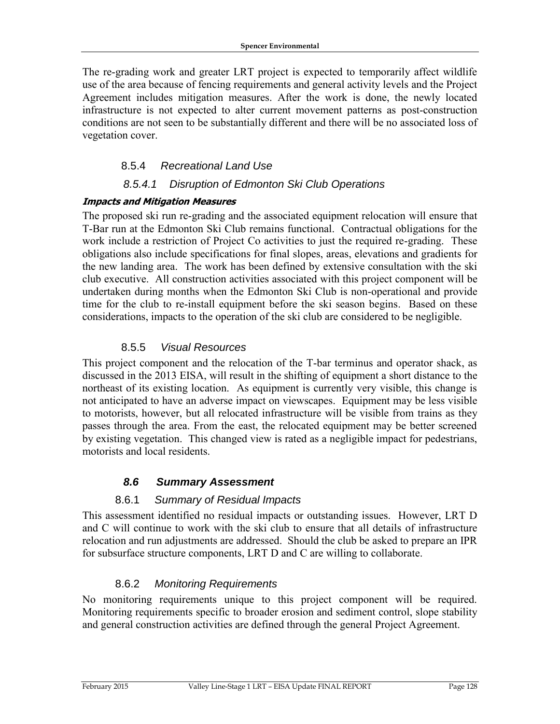The re-grading work and greater LRT project is expected to temporarily affect wildlife use of the area because of fencing requirements and general activity levels and the Project Agreement includes mitigation measures. After the work is done, the newly located infrastructure is not expected to alter current movement patterns as post-construction conditions are not seen to be substantially different and there will be no associated loss of vegetation cover.

### 8.5.4 *Recreational Land Use*

### *8.5.4.1 Disruption of Edmonton Ski Club Operations*

#### **Impacts and Mitigation Measures**

The proposed ski run re-grading and the associated equipment relocation will ensure that T-Bar run at the Edmonton Ski Club remains functional. Contractual obligations for the work include a restriction of Project Co activities to just the required re-grading. These obligations also include specifications for final slopes, areas, elevations and gradients for the new landing area. The work has been defined by extensive consultation with the ski club executive. All construction activities associated with this project component will be undertaken during months when the Edmonton Ski Club is non-operational and provide time for the club to re-install equipment before the ski season begins. Based on these considerations, impacts to the operation of the ski club are considered to be negligible.

### 8.5.5 *Visual Resources*

This project component and the relocation of the T-bar terminus and operator shack, as discussed in the 2013 EISA, will result in the shifting of equipment a short distance to the northeast of its existing location. As equipment is currently very visible, this change is not anticipated to have an adverse impact on viewscapes. Equipment may be less visible to motorists, however, but all relocated infrastructure will be visible from trains as they passes through the area. From the east, the relocated equipment may be better screened by existing vegetation. This changed view is rated as a negligible impact for pedestrians, motorists and local residents.

### *8.6 Summary Assessment*

### 8.6.1 *Summary of Residual Impacts*

This assessment identified no residual impacts or outstanding issues. However, LRT D and C will continue to work with the ski club to ensure that all details of infrastructure relocation and run adjustments are addressed. Should the club be asked to prepare an IPR for subsurface structure components, LRT D and C are willing to collaborate.

### 8.6.2 *Monitoring Requirements*

No monitoring requirements unique to this project component will be required. Monitoring requirements specific to broader erosion and sediment control, slope stability and general construction activities are defined through the general Project Agreement.